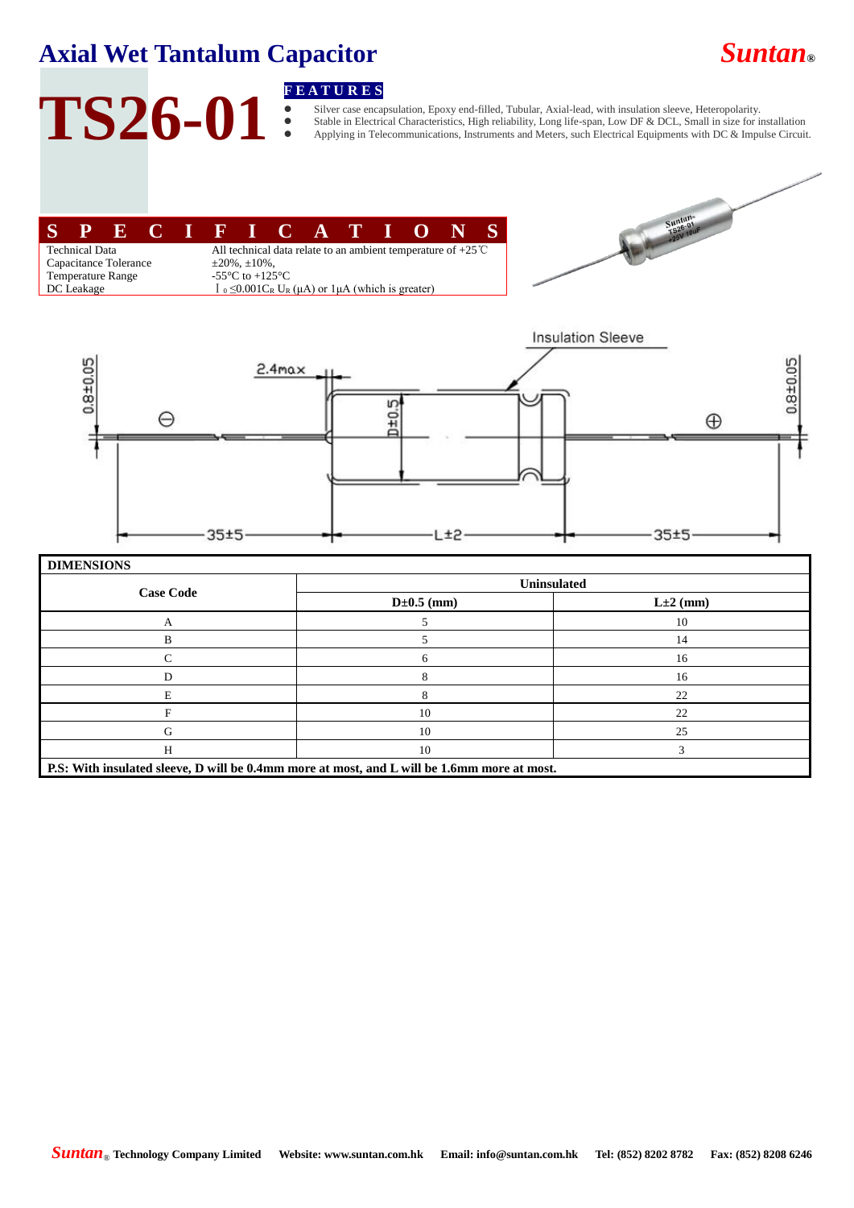### **Axial Wet Tantalum Capacitor** *Suntan***®**

# TS26-01 **FEATURES**<br> **FEATURES**<br> **FEATURES**<br> **FEATURES**

 Silver case encapsulation, Epoxy end-filled, Tubular, Axial-lead, with insulation sleeve, Heteropolarity. Stable in Electrical Characteristics, High reliability, Long life-span, Low DF & DCL, Small in size for installation Applying in Telecommunications, Instruments and Meters, such Electrical Equipments with DC & Impulse Circuit.





|                  | <b>Uninsulated</b> |                |  |  |  |  |  |
|------------------|--------------------|----------------|--|--|--|--|--|
| <b>Case Code</b> | $D \pm 0.5$ (mm)   | $L \pm 2$ (mm) |  |  |  |  |  |
| А                |                    | 10             |  |  |  |  |  |
| в                |                    | 14             |  |  |  |  |  |
| C                | 6                  | 16             |  |  |  |  |  |
| D                |                    | 16             |  |  |  |  |  |
| E                |                    | 22             |  |  |  |  |  |
|                  | 10                 | 22             |  |  |  |  |  |
| G                | 10                 | 25             |  |  |  |  |  |
| H                | 10                 |                |  |  |  |  |  |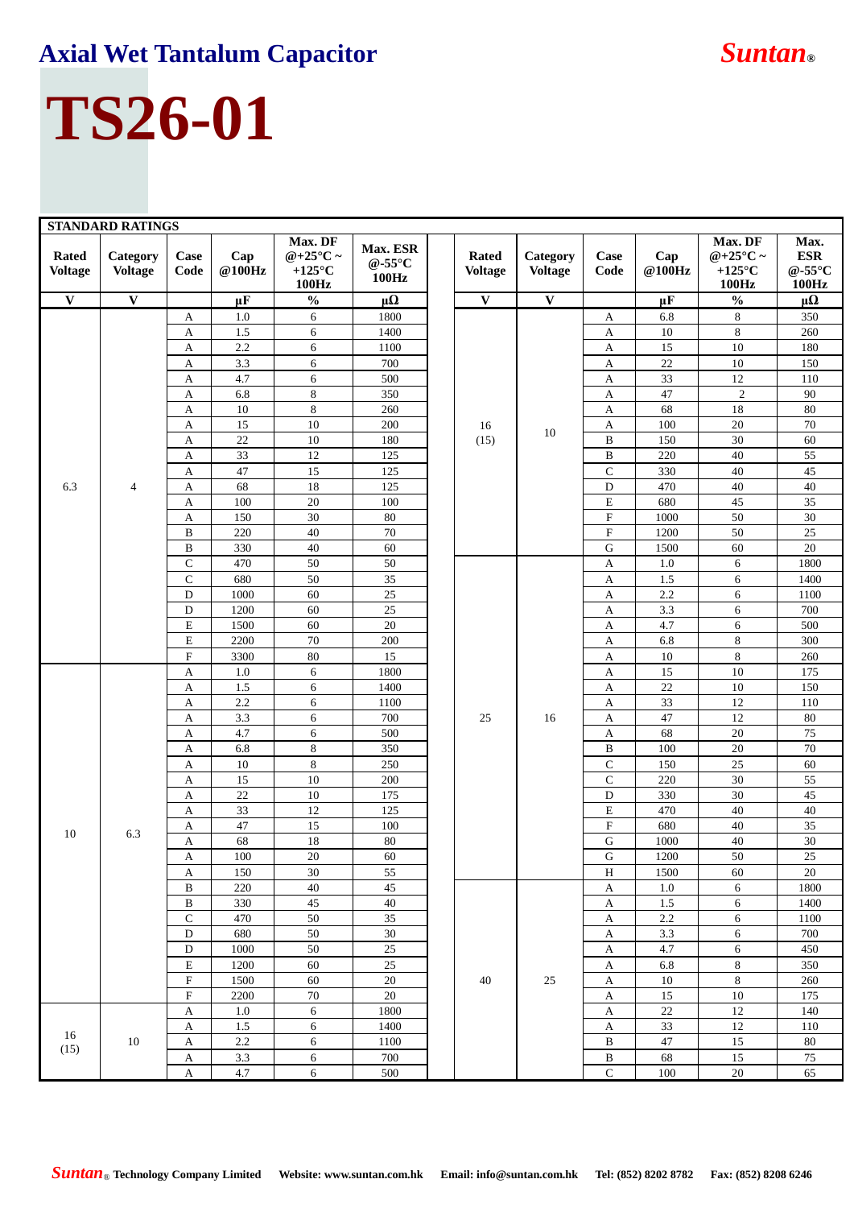## **Axial Wet Tantalum Capacitor** *Suntan***®**

## **TS26-01**

| <b>STANDARD RATINGS</b>        |                            |                           |               |                                                               |                                         |  |                                |                            |                           |                          |                                                    |                                                   |
|--------------------------------|----------------------------|---------------------------|---------------|---------------------------------------------------------------|-----------------------------------------|--|--------------------------------|----------------------------|---------------------------|--------------------------|----------------------------------------------------|---------------------------------------------------|
| <b>Rated</b><br><b>Voltage</b> | Category<br><b>Voltage</b> | Case<br>Code              | Cap<br>@100Hz | Max. DF<br>@+25 $\mathbb{C}$ ~<br>+125 $\mathcal{C}$<br>100Hz | Max. ESR<br>@-55 $\mathcal{C}$<br>100Hz |  | <b>Rated</b><br><b>Voltage</b> | Category<br><b>Voltage</b> | Case<br>Code              | Cap<br>$@100\mathrm{Hz}$ | Max. DF<br>@+25 $\mathbb{C}$ ~<br>+125 °C<br>100Hz | Max.<br><b>ESR</b><br>@-55 $\mathcal{C}$<br>100Hz |
| $\overline{\mathbf{V}}$        | $\mathbf{V}$               |                           | $\mu$ F       | $\frac{0}{0}$                                                 | $\mu\Omega$                             |  | $\overline{\mathbf{V}}$        | $\overline{\mathbf{V}}$    |                           | $\mu$ F                  | $\frac{0}{0}$                                      | $\mu\Omega$                                       |
|                                |                            | A                         | 1.0           | 6                                                             | 1800                                    |  | 16<br>(15)                     |                            | A                         | 6.8                      | 8                                                  | 350                                               |
|                                |                            | A                         | 1.5           | 6                                                             | 1400                                    |  |                                |                            | A                         | 10                       | 8                                                  | 260                                               |
|                                |                            | A                         | 2.2           | $\sqrt{6}$                                                    | 1100                                    |  |                                |                            | A                         | 15                       | 10                                                 | 180                                               |
|                                |                            | А                         | 3.3           | 6                                                             | 700                                     |  |                                |                            | A                         | $22\,$                   | $10\,$                                             | 150                                               |
|                                |                            | A                         | 4.7           | 6                                                             | 500                                     |  |                                |                            | A                         | 33                       | 12                                                 | 110                                               |
|                                |                            | А                         | 6.8           | $\,8\,$                                                       | 350                                     |  |                                |                            | A                         | 47                       | $\sqrt{2}$                                         | 90                                                |
|                                |                            | A                         | 10            | $\,8\,$                                                       | 260                                     |  |                                |                            | A                         | 68                       | 18                                                 | $80\,$                                            |
|                                |                            | A                         | 15            | 10                                                            | 200                                     |  |                                | 10                         | A                         | 100                      | $20\,$                                             | $70\,$                                            |
|                                |                            | A                         | 22            | $10\,$                                                        | 180                                     |  |                                |                            | $\, {\bf B}$              | 150                      | $30\,$                                             | $60\,$                                            |
|                                |                            | A                         | 33            | 12                                                            | 125                                     |  |                                |                            | B                         | 220                      | 40                                                 | 55                                                |
|                                |                            | A                         | 47            | 15                                                            | 125                                     |  |                                |                            | $\mathbf C$               | 330                      | 40                                                 | $45\,$                                            |
| 6.3                            | 4                          | A                         | 68            | 18                                                            | 125                                     |  |                                |                            | $\mathbf D$               | 470                      | 40                                                 | 40                                                |
|                                |                            | $\mathbf{A}$              | 100           | $20\,$                                                        | 100                                     |  |                                |                            | $\mathbf E$               | 680                      | 45                                                 | $\overline{35}$                                   |
|                                |                            | $\mathbf{A}$              | 150           | 30                                                            | 80                                      |  |                                |                            | ${\bf F}$                 | 1000                     | 50                                                 | 30                                                |
|                                |                            | B                         | 220           | $40\,$                                                        | 70                                      |  |                                |                            | $\boldsymbol{\mathrm{F}}$ | 1200                     | 50                                                 | $25\,$                                            |
|                                |                            | $\, {\bf B}$              | 330           | $40\,$                                                        | 60                                      |  |                                |                            | G                         | 1500                     | 60                                                 | $20\,$                                            |
|                                |                            | $\mathbf C$               | 470           | 50                                                            | 50                                      |  |                                |                            | A                         | 1.0                      | 6                                                  | 1800                                              |
|                                |                            | $\mathbf C$               | 680           | 50                                                            | 35                                      |  |                                |                            | A                         | 1.5                      | $\sqrt{6}$                                         | 1400                                              |
|                                |                            | ${\bf D}$                 | 1000          | 60                                                            | $25\,$                                  |  |                                |                            | A                         | $2.2\,$                  | 6                                                  | 1100<br>700                                       |
|                                |                            | ${\bf D}$                 | 1200          | 60                                                            | $25\,$                                  |  |                                |                            | A                         | $3.3\,$<br>4.7           | 6                                                  |                                                   |
|                                |                            | ${\bf E}$<br>${\bf E}$    | 1500<br>2200  | 60<br>$70\,$                                                  | 20<br>200                               |  |                                |                            | A<br>A                    | 6.8                      | $\sqrt{6}$<br>$\,8\,$                              | 500<br>300                                        |
|                                |                            | ${\bf F}$                 | 3300          | $80\,$                                                        | 15                                      |  |                                | 16                         | A                         | 10                       | $\,8\,$                                            | 260                                               |
|                                | 6.3                        | $\mathbf{A}$              | 1.0           | 6                                                             | 1800                                    |  |                                |                            | A                         | 15                       | 10                                                 | 175                                               |
|                                |                            | A                         | 1.5           | 6                                                             | 1400                                    |  |                                |                            | A                         | 22                       | $10\,$                                             | 150                                               |
|                                |                            | $\boldsymbol{\mathsf{A}}$ | 2.2           | $\sqrt{6}$                                                    | 1100                                    |  |                                |                            | A                         | 33                       | 12                                                 | 110                                               |
|                                |                            | A                         | 3.3           | 6                                                             | 700                                     |  | 25                             |                            | A                         | 47                       | 12                                                 | $80\,$                                            |
|                                |                            | A                         | 4.7           | $\sqrt{6}$                                                    | 500                                     |  |                                |                            | A                         | 68                       | $20\,$                                             | 75                                                |
|                                |                            | A                         | 6.8           | $\,8\,$                                                       | 350                                     |  |                                |                            | B                         | 100                      | $20\,$                                             | $70\,$                                            |
|                                |                            | А                         | 10            | $\,8\,$                                                       | 250                                     |  |                                |                            | $\mathbf C$               | 150                      | $25\,$                                             | $60\,$                                            |
|                                |                            | A                         | 15            | $10\,$                                                        | 200                                     |  |                                |                            | $\mathbf C$               | 220                      | 30                                                 | 55                                                |
|                                |                            | A                         | 22            | $10\,$                                                        | 175                                     |  |                                |                            | $\mathbf D$               | 330                      | 30                                                 | 45                                                |
|                                |                            | А                         | 33            | 12                                                            | 125                                     |  |                                |                            | E                         | 470                      | $40\,$                                             | $40\,$                                            |
| 10                             |                            | A                         | 47            | 15                                                            | 100                                     |  |                                |                            | $\boldsymbol{\mathrm{F}}$ | 680                      | 40                                                 | 35                                                |
|                                |                            | A                         | 68            | $18\,$                                                        | $80\,$                                  |  |                                |                            | ${\bf G}$                 | 1000                     | $40\,$                                             | $30\,$                                            |
|                                |                            | A                         | 100           | $20\,$                                                        | 60                                      |  |                                |                            | G                         | 1200                     | 50                                                 | $\overline{25}$                                   |
|                                |                            | A                         | 150           | 30                                                            | 55                                      |  |                                |                            | $\, {\rm H}$              | 1500                     | 60                                                 | $20\,$                                            |
|                                |                            | $\, {\bf B}$              | 220           | $40\,$                                                        | 45                                      |  |                                |                            | $\boldsymbol{\mathsf{A}}$ | 1.0                      | 6                                                  | 1800                                              |
|                                |                            | $\, {\bf B}$              | 330           | 45                                                            | $40\,$                                  |  |                                |                            | A                         | 1.5                      | 6                                                  | 1400                                              |
|                                |                            | $\overline{C}$            | 470           | 50                                                            | 35                                      |  |                                |                            | $\mathbf A$               | $2.2\,$                  | $\sqrt{6}$                                         | 1100                                              |
|                                |                            | ${\bf D}$                 | 680           | 50                                                            | 30                                      |  |                                |                            | A                         | 3.3                      | $\sqrt{6}$                                         | 700                                               |
|                                |                            | ${\bf D}$                 | 1000          | 50                                                            | $25\,$                                  |  |                                |                            | A                         | 4.7                      | $\sqrt{6}$                                         | 450                                               |
|                                |                            | $\mathbf E$               | 1200          | 60                                                            | 25                                      |  |                                |                            | A                         | 6.8                      | $\,8\,$                                            | 350                                               |
|                                |                            | ${\bf F}$                 | 1500          | 60                                                            | 20                                      |  | 40                             | 25                         | A                         | 10                       | $\,8\,$                                            | 260                                               |
|                                |                            | $\mathbf F$               | 2200          | $70\,$                                                        | 20                                      |  |                                |                            | A                         | 15                       | $10\,$                                             | 175                                               |
|                                |                            | A                         | $1.0\,$       | $\sqrt{6}$                                                    | 1800                                    |  |                                |                            | A                         | 22                       | 12                                                 | 140                                               |
| 16                             |                            | A                         | 1.5           | $\sqrt{6}$                                                    | 1400                                    |  |                                |                            | $\mathbf{A}$              | 33                       | $12\,$                                             | 110                                               |
| (15)                           | 10                         | A                         | $2.2\,$       | 6                                                             | 1100                                    |  |                                |                            | B                         | 47                       | 15                                                 | $80\,$                                            |
|                                |                            | A                         | $3.3\,$       | 6                                                             | 700                                     |  |                                |                            | $\, {\bf B}$              | 68                       | 15                                                 | $75\,$                                            |
|                                |                            | $\mathbf{A}$              | 4.7           | 6                                                             | 500                                     |  |                                |                            | $\mathbf C$               | 100                      | $20\,$                                             | 65                                                |